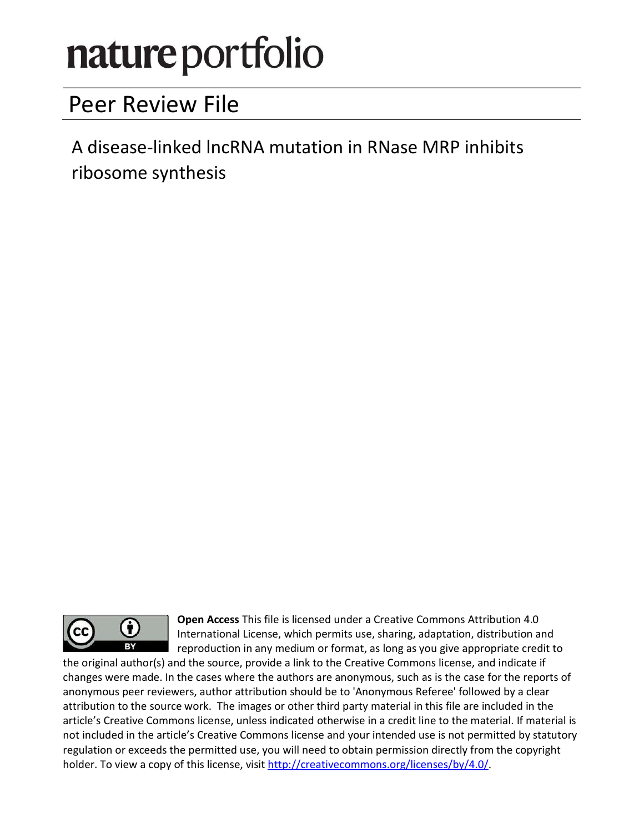# nature portfolio

# Peer Review File

A disease-linked lncRNA mutation in RNase MRP inhibits ribosome synthesis



Open Access This file is licensed under a Creative Commons Attribution 4.0 International License, which permits use, sharing, adaptation, distribution and reproduction in any medium or format, as long as you give appropriate credit to

the original author(s) and the source, provide a link to the Creative Commons license, and indicate if changes were made. In the cases where the authors are anonymous, such as is the case for the reports of anonymous peer reviewers, author attribution should be to 'Anonymous Referee' followed by a clear attribution to the source work. The images or other third party material in this file are included in the article's Creative Commons license, unless indicated otherwise in a credit line to the material. If material is not included in the article's Creative Commons license and your intended use is not permitted by statutory regulation or exceeds the permitted use, you will need to obtain permission directly from the copyright holder. To view a copy of this license, visit http://creativecommons.org/licenses/by/4.0/.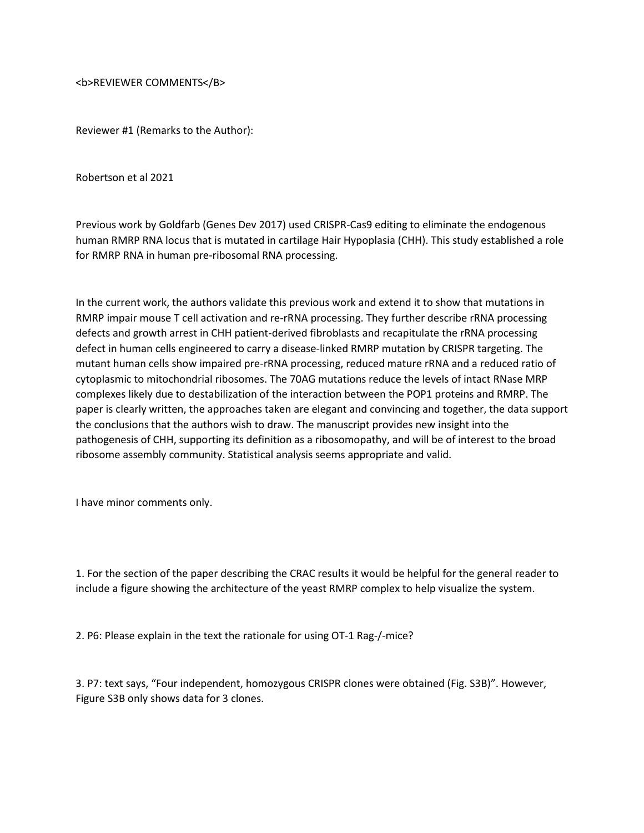<b>REVIEWER COMMENTS</B>

Reviewer #1 (Remarks to the Author):

Robertson et al 2021

Previous work by Goldfarb (Genes Dev 2017) used CRISPR-Cas9 editing to eliminate the endogenous human RMRP RNA locus that is mutated in cartilage Hair Hypoplasia (CHH). This study established a role for RMRP RNA in human pre-ribosomal RNA processing.

In the current work, the authors validate this previous work and extend it to show that mutations in RMRP impair mouse T cell activation and re-rRNA processing. They further describe rRNA processing defects and growth arrest in CHH patient-derived fibroblasts and recapitulate the rRNA processing defect in human cells engineered to carry a disease-linked RMRP mutation by CRISPR targeting. The mutant human cells show impaired pre-rRNA processing, reduced mature rRNA and a reduced ratio of cytoplasmic to mitochondrial ribosomes. The 70AG mutations reduce the levels of intact RNase MRP complexes likely due to destabilization of the interaction between the POP1 proteins and RMRP. The paper is clearly written, the approaches taken are elegant and convincing and together, the data support the conclusions that the authors wish to draw. The manuscript provides new insight into the pathogenesis of CHH, supporting its definition as a ribosomopathy, and will be of interest to the broad ribosome assembly community. Statistical analysis seems appropriate and valid.

I have minor comments only.

1. For the section of the paper describing the CRAC results it would be helpful for the general reader to include a figure showing the architecture of the yeast RMRP complex to help visualize the system.

2. P6: Please explain in the text the rationale for using OT-1 Rag-/-mice?

3. P7: text says, "Four independent, homozygous CRISPR clones were obtained (Fig. S3B)". However, Figure S3B only shows data for 3 clones.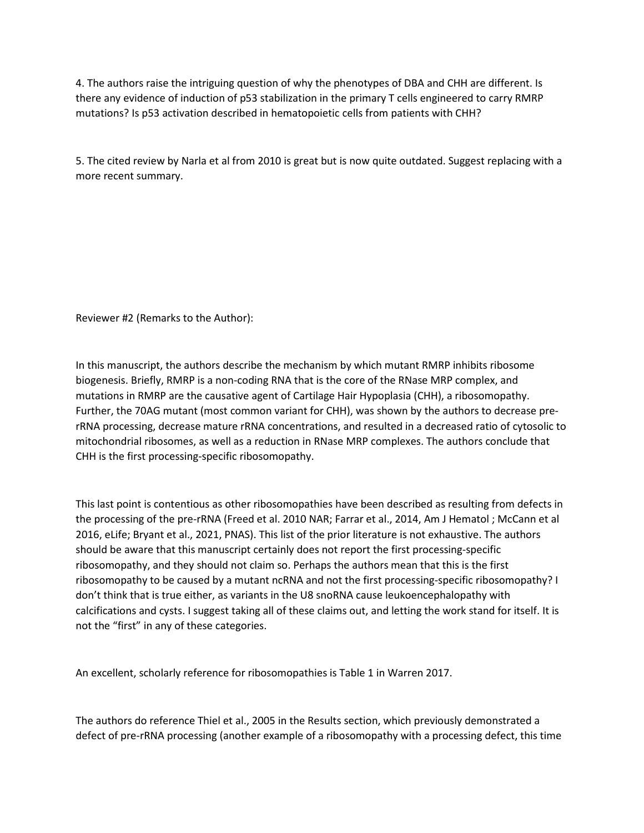4. The authors raise the intriguing question of why the phenotypes of DBA and CHH are different. Is there any evidence of induction of p53 stabilization in the primary T cells engineered to carry RMRP mutations? Is p53 activation described in hematopoietic cells from patients with CHH?

5. The cited review by Narla et al from 2010 is great but is now quite outdated. Suggest replacing with a more recent summary.

Reviewer #2 (Remarks to the Author):

In this manuscript, the authors describe the mechanism by which mutant RMRP inhibits ribosome biogenesis. Briefly, RMRP is a non-coding RNA that is the core of the RNase MRP complex, and mutations in RMRP are the causative agent of Cartilage Hair Hypoplasia (CHH), a ribosomopathy. Further, the 70AG mutant (most common variant for CHH), was shown by the authors to decrease prerRNA processing, decrease mature rRNA concentrations, and resulted in a decreased ratio of cytosolic to mitochondrial ribosomes, as well as a reduction in RNase MRP complexes. The authors conclude that CHH is the first processing-specific ribosomopathy.

This last point is contentious as other ribosomopathies have been described as resulting from defects in the processing of the pre-rRNA (Freed et al. 2010 NAR; Farrar et al., 2014, Am J Hematol ; McCann et al 2016, eLife; Bryant et al., 2021, PNAS). This list of the prior literature is not exhaustive. The authors should be aware that this manuscript certainly does not report the first processing-specific ribosomopathy, and they should not claim so. Perhaps the authors mean that this is the first ribosomopathy to be caused by a mutant ncRNA and not the first processing-specific ribosomopathy? I don't think that is true either, as variants in the U8 snoRNA cause leukoencephalopathy with calcifications and cysts. I suggest taking all of these claims out, and letting the work stand for itself. It is not the "first" in any of these categories.

An excellent, scholarly reference for ribosomopathies is Table 1 in Warren 2017.

The authors do reference Thiel et al., 2005 in the Results section, which previously demonstrated a defect of pre-rRNA processing (another example of a ribosomopathy with a processing defect, this time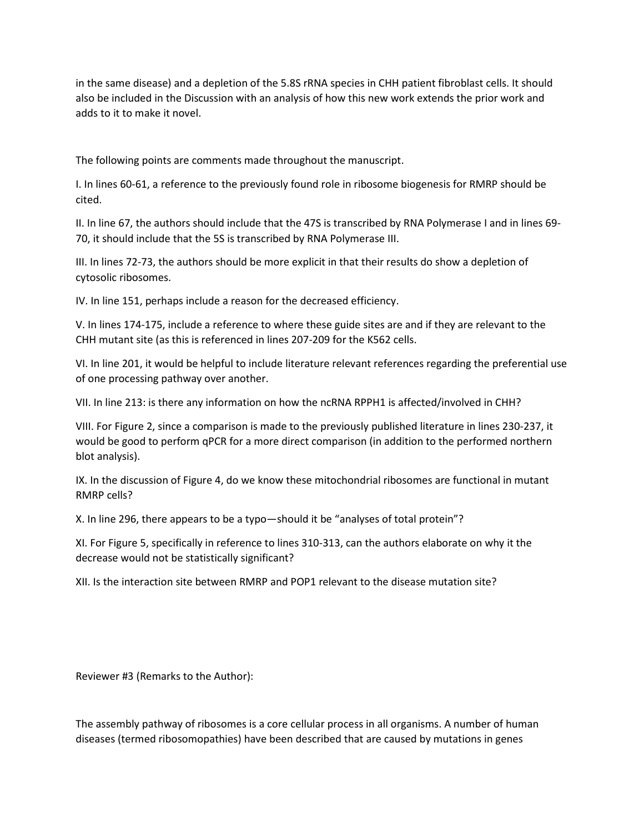in the same disease) and a depletion of the 5.8S rRNA species in CHH patient fibroblast cells. It should also be included in the Discussion with an analysis of how this new work extends the prior work and adds to it to make it novel.

The following points are comments made throughout the manuscript.

I. In lines 60-61, a reference to the previously found role in ribosome biogenesis for RMRP should be cited.

II. In line 67, the authors should include that the 47S is transcribed by RNA Polymerase I and in lines 69- 70, it should include that the 5S is transcribed by RNA Polymerase III.

III. In lines 72-73, the authors should be more explicit in that their results do show a depletion of cytosolic ribosomes.

IV. In line 151, perhaps include a reason for the decreased efficiency.

V. In lines 174-175, include a reference to where these guide sites are and if they are relevant to the CHH mutant site (as this is referenced in lines 207-209 for the K562 cells.

VI. In line 201, it would be helpful to include literature relevant references regarding the preferential use of one processing pathway over another.

VII. In line 213: is there any information on how the ncRNA RPPH1 is affected/involved in CHH?

VIII. For Figure 2, since a comparison is made to the previously published literature in lines 230-237, it would be good to perform qPCR for a more direct comparison (in addition to the performed northern blot analysis).

IX. In the discussion of Figure 4, do we know these mitochondrial ribosomes are functional in mutant RMRP cells?

X. In line 296, there appears to be a typo—should it be "analyses of total protein"?

XI. For Figure 5, specifically in reference to lines 310-313, can the authors elaborate on why it the decrease would not be statistically significant?

XII. Is the interaction site between RMRP and POP1 relevant to the disease mutation site?

Reviewer #3 (Remarks to the Author):

The assembly pathway of ribosomes is a core cellular process in all organisms. A number of human diseases (termed ribosomopathies) have been described that are caused by mutations in genes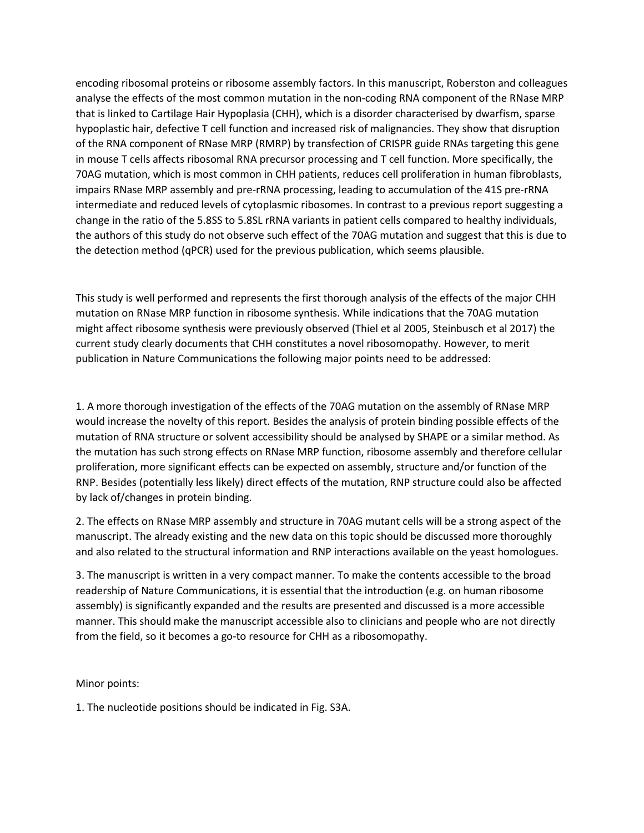encoding ribosomal proteins or ribosome assembly factors. In this manuscript, Roberston and colleagues analyse the effects of the most common mutation in the non-coding RNA component of the RNase MRP that is linked to Cartilage Hair Hypoplasia (CHH), which is a disorder characterised by dwarfism, sparse hypoplastic hair, defective T cell function and increased risk of malignancies. They show that disruption of the RNA component of RNase MRP (RMRP) by transfection of CRISPR guide RNAs targeting this gene in mouse T cells affects ribosomal RNA precursor processing and T cell function. More specifically, the 70AG mutation, which is most common in CHH patients, reduces cell proliferation in human fibroblasts, impairs RNase MRP assembly and pre-rRNA processing, leading to accumulation of the 41S pre-rRNA intermediate and reduced levels of cytoplasmic ribosomes. In contrast to a previous report suggesting a change in the ratio of the 5.8SS to 5.8SL rRNA variants in patient cells compared to healthy individuals, the authors of this study do not observe such effect of the 70AG mutation and suggest that this is due to the detection method (qPCR) used for the previous publication, which seems plausible.

This study is well performed and represents the first thorough analysis of the effects of the major CHH mutation on RNase MRP function in ribosome synthesis. While indications that the 70AG mutation might affect ribosome synthesis were previously observed (Thiel et al 2005, Steinbusch et al 2017) the current study clearly documents that CHH constitutes a novel ribosomopathy. However, to merit publication in Nature Communications the following major points need to be addressed:

1. A more thorough investigation of the effects of the 70AG mutation on the assembly of RNase MRP would increase the novelty of this report. Besides the analysis of protein binding possible effects of the mutation of RNA structure or solvent accessibility should be analysed by SHAPE or a similar method. As the mutation has such strong effects on RNase MRP function, ribosome assembly and therefore cellular proliferation, more significant effects can be expected on assembly, structure and/or function of the RNP. Besides (potentially less likely) direct effects of the mutation, RNP structure could also be affected by lack of/changes in protein binding.

2. The effects on RNase MRP assembly and structure in 70AG mutant cells will be a strong aspect of the manuscript. The already existing and the new data on this topic should be discussed more thoroughly and also related to the structural information and RNP interactions available on the yeast homologues.

3. The manuscript is written in a very compact manner. To make the contents accessible to the broad readership of Nature Communications, it is essential that the introduction (e.g. on human ribosome assembly) is significantly expanded and the results are presented and discussed is a more accessible manner. This should make the manuscript accessible also to clinicians and people who are not directly from the field, so it becomes a go-to resource for CHH as a ribosomopathy.

Minor points:

1. The nucleotide positions should be indicated in Fig. S3A.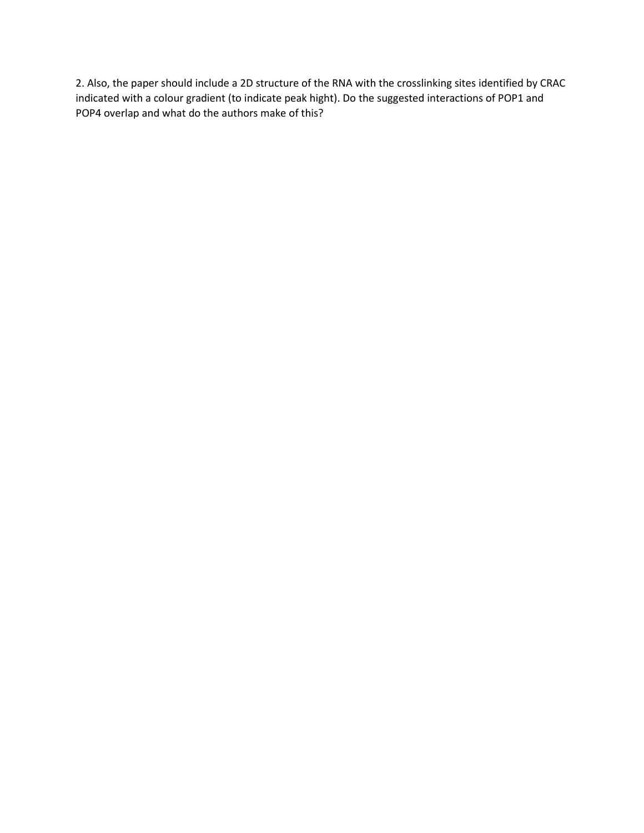2. Also, the paper should include a 2D structure of the RNA with the crosslinking sites identified by CRAC indicated with a colour gradient (to indicate peak hight). Do the suggested interactions of POP1 and POP4 overlap and what do the authors make of this?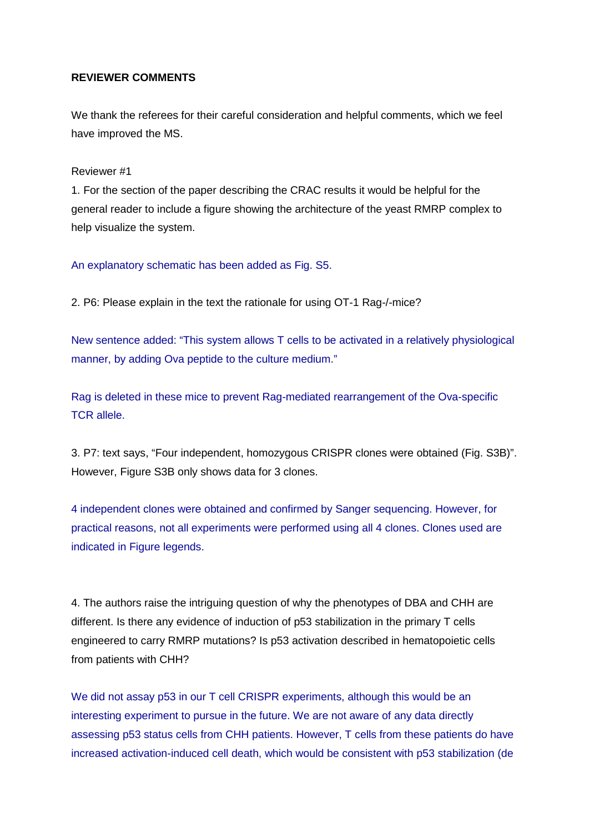# **REVIEWER COMMENTS**

We thank the referees for their careful consideration and helpful comments, which we feel have improved the MS.

## Reviewer #1

1. For the section of the paper describing the CRAC results it would be helpful for the general reader to include a figure showing the architecture of the yeast RMRP complex to help visualize the system.

An explanatory schematic has been added as Fig. S5.

2. P6: Please explain in the text the rationale for using OT-1 Rag-/-mice?

New sentence added: "This system allows T cells to be activated in a relatively physiological manner, by adding Ova peptide to the culture medium."

Rag is deleted in these mice to prevent Rag-mediated rearrangement of the Ova-specific TCR allele.

3. P7: text says, "Four independent, homozygous CRISPR clones were obtained (Fig. S3B)". However, Figure S3B only shows data for 3 clones.

4 independent clones were obtained and confirmed by Sanger sequencing. However, for practical reasons, not all experiments were performed using all 4 clones. Clones used are indicated in Figure legends.

4. The authors raise the intriguing question of why the phenotypes of DBA and CHH are different. Is there any evidence of induction of p53 stabilization in the primary T cells engineered to carry RMRP mutations? Is p53 activation described in hematopoietic cells from patients with CHH?

We did not assay p53 in our T cell CRISPR experiments, although this would be an interesting experiment to pursue in the future. We are not aware of any data directly assessing p53 status cells from CHH patients. However, T cells from these patients do have increased activation-induced cell death, which would be consistent with p53 stabilization (de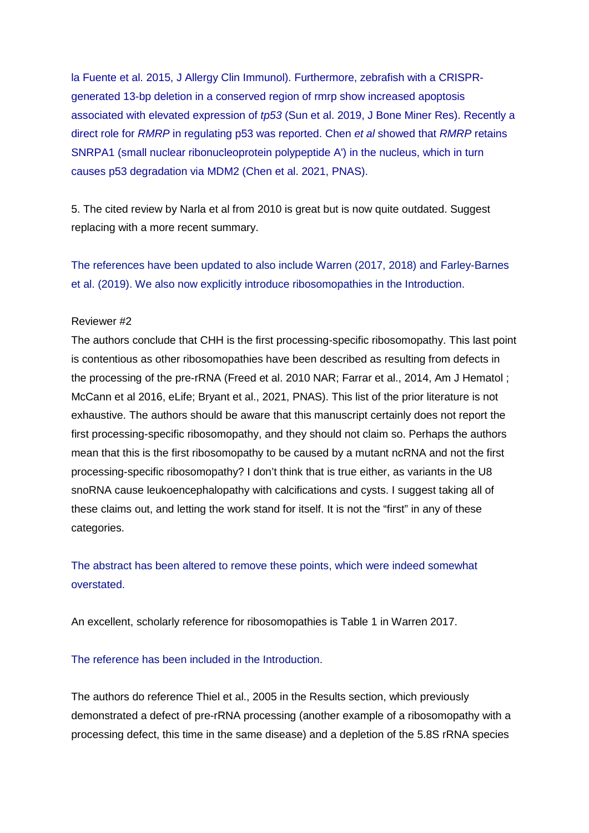la Fuente et al. 2015, J Allergy Clin Immunol). Furthermore, zebrafish with a CRISPRgenerated 13-bp deletion in a conserved region of rmrp show increased apoptosis associated with elevated expression of *tp53* (Sun et al. 2019, J Bone Miner Res). Recently a direct role for *RMRP* in regulating p53 was reported. Chen *et al* showed that *RMRP* retains SNRPA1 (small nuclear ribonucleoprotein polypeptide A') in the nucleus, which in turn causes p53 degradation via MDM2 (Chen et al. 2021, PNAS).

5. The cited review by Narla et al from 2010 is great but is now quite outdated. Suggest replacing with a more recent summary.

The references have been updated to also include Warren (2017, 2018) and Farley-Barnes et al. (2019). We also now explicitly introduce ribosomopathies in the Introduction.

## Reviewer #2

The authors conclude that CHH is the first processing-specific ribosomopathy. This last point is contentious as other ribosomopathies have been described as resulting from defects in the processing of the pre-rRNA (Freed et al. 2010 NAR; Farrar et al., 2014, Am J Hematol ; McCann et al 2016, eLife; Bryant et al., 2021, PNAS). This list of the prior literature is not exhaustive. The authors should be aware that this manuscript certainly does not report the first processing-specific ribosomopathy, and they should not claim so. Perhaps the authors mean that this is the first ribosomopathy to be caused by a mutant ncRNA and not the first processing-specific ribosomopathy? I don't think that is true either, as variants in the U8 snoRNA cause leukoencephalopathy with calcifications and cysts. I suggest taking all of these claims out, and letting the work stand for itself. It is not the "first" in any of these categories.

The abstract has been altered to remove these points, which were indeed somewhat overstated.

An excellent, scholarly reference for ribosomopathies is Table 1 in Warren 2017.

#### The reference has been included in the Introduction.

The authors do reference Thiel et al., 2005 in the Results section, which previously demonstrated a defect of pre-rRNA processing (another example of a ribosomopathy with a processing defect, this time in the same disease) and a depletion of the 5.8S rRNA species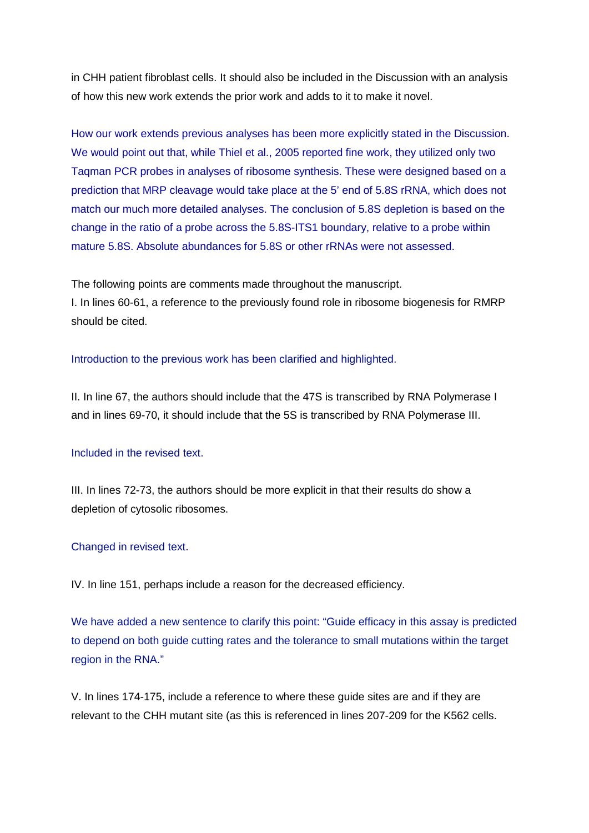in CHH patient fibroblast cells. It should also be included in the Discussion with an analysis of how this new work extends the prior work and adds to it to make it novel.

How our work extends previous analyses has been more explicitly stated in the Discussion. We would point out that, while Thiel et al., 2005 reported fine work, they utilized only two Taqman PCR probes in analyses of ribosome synthesis. These were designed based on a prediction that MRP cleavage would take place at the 5' end of 5.8S rRNA, which does not match our much more detailed analyses. The conclusion of 5.8S depletion is based on the change in the ratio of a probe across the 5.8S-ITS1 boundary, relative to a probe within mature 5.8S. Absolute abundances for 5.8S or other rRNAs were not assessed.

The following points are comments made throughout the manuscript.

I. In lines 60-61, a reference to the previously found role in ribosome biogenesis for RMRP should be cited.

#### Introduction to the previous work has been clarified and highlighted.

II. In line 67, the authors should include that the 47S is transcribed by RNA Polymerase I and in lines 69-70, it should include that the 5S is transcribed by RNA Polymerase III.

# Included in the revised text.

III. In lines 72-73, the authors should be more explicit in that their results do show a depletion of cytosolic ribosomes.

#### Changed in revised text.

IV. In line 151, perhaps include a reason for the decreased efficiency.

We have added a new sentence to clarify this point: "Guide efficacy in this assay is predicted to depend on both guide cutting rates and the tolerance to small mutations within the target region in the RNA."

V. In lines 174-175, include a reference to where these guide sites are and if they are relevant to the CHH mutant site (as this is referenced in lines 207-209 for the K562 cells.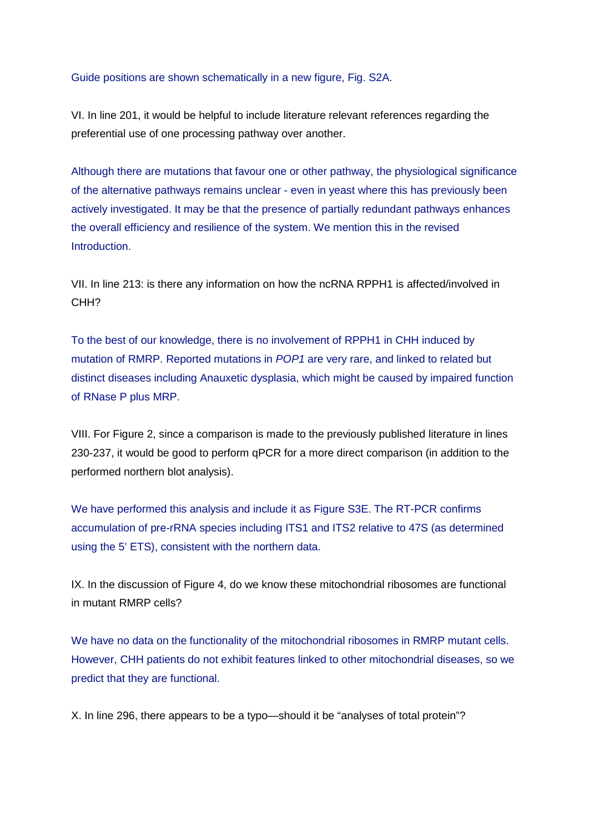#### Guide positions are shown schematically in a new figure, Fig. S2A.

VI. In line 201, it would be helpful to include literature relevant references regarding the preferential use of one processing pathway over another.

Although there are mutations that favour one or other pathway, the physiological significance of the alternative pathways remains unclear - even in yeast where this has previously been actively investigated. It may be that the presence of partially redundant pathways enhances the overall efficiency and resilience of the system. We mention this in the revised Introduction.

VII. In line 213: is there any information on how the ncRNA RPPH1 is affected/involved in CHH?

To the best of our knowledge, there is no involvement of RPPH1 in CHH induced by mutation of RMRP. Reported mutations in *POP1* are very rare, and linked to related but distinct diseases including Anauxetic dysplasia, which might be caused by impaired function of RNase P plus MRP.

VIII. For Figure 2, since a comparison is made to the previously published literature in lines 230-237, it would be good to perform qPCR for a more direct comparison (in addition to the performed northern blot analysis).

We have performed this analysis and include it as Figure S3E. The RT-PCR confirms accumulation of pre-rRNA species including ITS1 and ITS2 relative to 47S (as determined using the 5' ETS), consistent with the northern data.

IX. In the discussion of Figure 4, do we know these mitochondrial ribosomes are functional in mutant RMRP cells?

We have no data on the functionality of the mitochondrial ribosomes in RMRP mutant cells. However, CHH patients do not exhibit features linked to other mitochondrial diseases, so we predict that they are functional.

X. In line 296, there appears to be a typo—should it be "analyses of total protein"?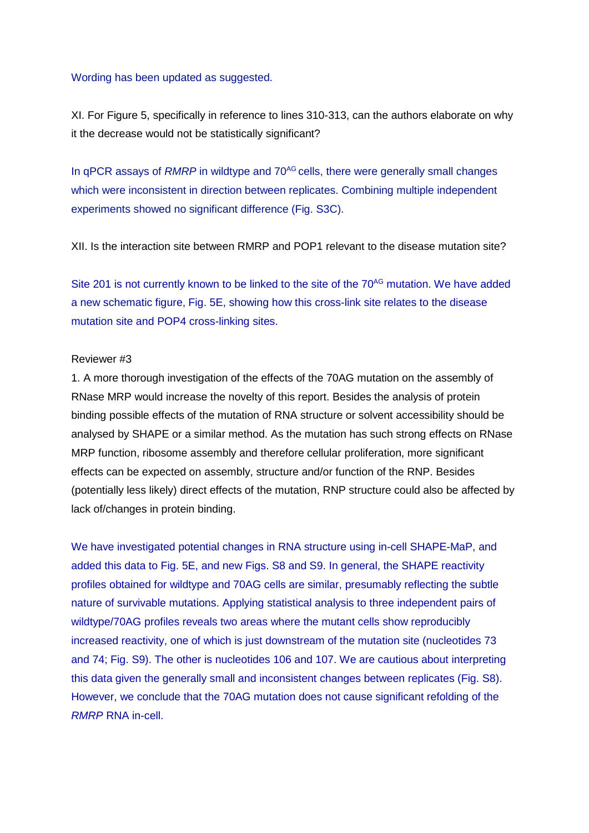#### Wording has been updated as suggested.

XI. For Figure 5, specifically in reference to lines 310-313, can the authors elaborate on why it the decrease would not be statistically significant?

In qPCR assays of *RMRP* in wildtype and 70<sup>AG</sup> cells, there were generally small changes which were inconsistent in direction between replicates. Combining multiple independent experiments showed no significant difference (Fig. S3C).

XII. Is the interaction site between RMRP and POP1 relevant to the disease mutation site?

Site 201 is not currently known to be linked to the site of the  $70<sup>AG</sup>$  mutation. We have added a new schematic figure, Fig. 5E, showing how this cross-link site relates to the disease mutation site and POP4 cross-linking sites.

#### Reviewer #3

1. A more thorough investigation of the effects of the 70AG mutation on the assembly of RNase MRP would increase the novelty of this report. Besides the analysis of protein binding possible effects of the mutation of RNA structure or solvent accessibility should be analysed by SHAPE or a similar method. As the mutation has such strong effects on RNase MRP function, ribosome assembly and therefore cellular proliferation, more significant effects can be expected on assembly, structure and/or function of the RNP. Besides (potentially less likely) direct effects of the mutation, RNP structure could also be affected by lack of/changes in protein binding.

We have investigated potential changes in RNA structure using in-cell SHAPE-MaP, and added this data to Fig. 5E, and new Figs. S8 and S9. In general, the SHAPE reactivity profiles obtained for wildtype and 70AG cells are similar, presumably reflecting the subtle nature of survivable mutations. Applying statistical analysis to three independent pairs of wildtype/70AG profiles reveals two areas where the mutant cells show reproducibly increased reactivity, one of which is just downstream of the mutation site (nucleotides 73 and 74; Fig. S9). The other is nucleotides 106 and 107. We are cautious about interpreting this data given the generally small and inconsistent changes between replicates (Fig. S8). However, we conclude that the 70AG mutation does not cause significant refolding of the *RMRP* RNA in-cell.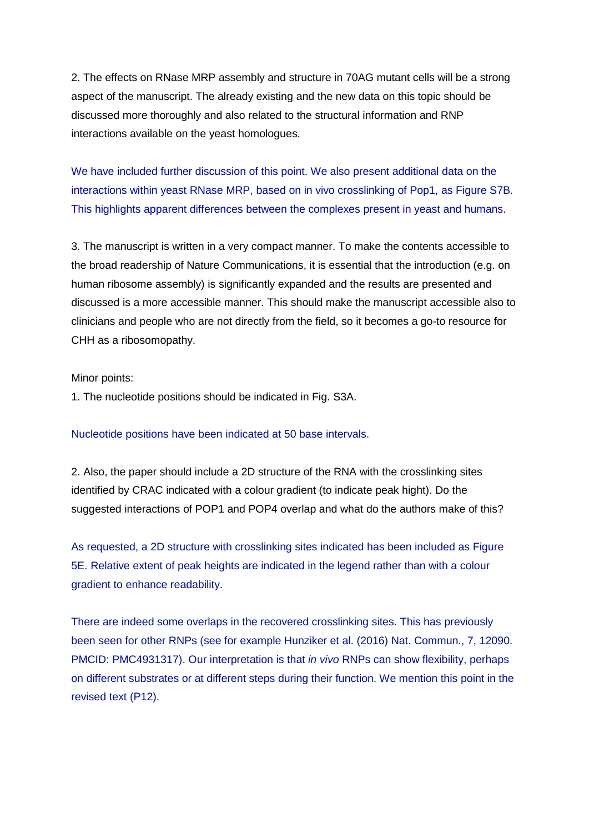2. The effects on RNase MRP assembly and structure in 70AG mutant cells will be a strong aspect of the manuscript. The already existing and the new data on this topic should be discussed more thoroughly and also related to the structural information and RNP interactions available on the yeast homologues.

We have included further discussion of this point. We also present additional data on the interactions within yeast RNase MRP, based on in vivo crosslinking of Pop1, as Figure S7B. This highlights apparent differences between the complexes present in yeast and humans.

3. The manuscript is written in a very compact manner. To make the contents accessible to the broad readership of Nature Communications, it is essential that the introduction (e.g. on human ribosome assembly) is significantly expanded and the results are presented and discussed is a more accessible manner. This should make the manuscript accessible also to clinicians and people who are not directly from the field, so it becomes a go-to resource for CHH as a ribosomopathy.

#### Minor points:

1. The nucleotide positions should be indicated in Fig. S3A.

Nucleotide positions have been indicated at 50 base intervals.

2. Also, the paper should include a 2D structure of the RNA with the crosslinking sites identified by CRAC indicated with a colour gradient (to indicate peak hight). Do the suggested interactions of POP1 and POP4 overlap and what do the authors make of this?

As requested, a 2D structure with crosslinking sites indicated has been included as Figure 5E. Relative extent of peak heights are indicated in the legend rather than with a colour gradient to enhance readability.

There are indeed some overlaps in the recovered crosslinking sites. This has previously been seen for other RNPs (see for example Hunziker et al. (2016) Nat. Commun., 7, 12090. PMCID: PMC4931317). Our interpretation is that *in vivo* RNPs can show flexibility, perhaps on different substrates or at different steps during their function. We mention this point in the revised text (P12).